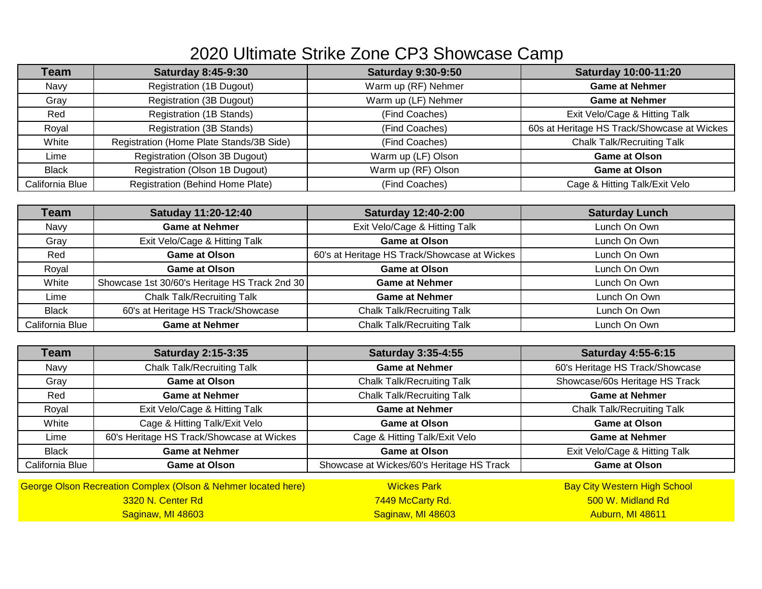## 2020 Ultimate Strike Zone CP3 Showcase Camp

| Team            | <b>Saturday 8:45-9:30</b>                | <b>Saturday 9:30-9:50</b> | <b>Saturday 10:00-11:20</b>                 |
|-----------------|------------------------------------------|---------------------------|---------------------------------------------|
| Navy            | Registration (1B Dugout)                 | Warm up (RF) Nehmer       | <b>Game at Nehmer</b>                       |
| Gray            | <b>Registration (3B Dugout)</b>          | Warm up (LF) Nehmer       | <b>Game at Nehmer</b>                       |
| Red             | <b>Registration (1B Stands)</b>          | (Find Coaches)            | Exit Velo/Cage & Hitting Talk               |
| Royal           | <b>Registration (3B Stands)</b>          | (Find Coaches)            | 60s at Heritage HS Track/Showcase at Wickes |
| White           | Registration (Home Plate Stands/3B Side) | (Find Coaches)            | <b>Chalk Talk/Recruiting Talk</b>           |
| Lime            | Registration (Olson 3B Dugout)           | Warm up (LF) Olson        | <b>Game at Olson</b>                        |
| <b>Black</b>    | Registration (Olson 1B Dugout)           | Warm up (RF) Olson        | <b>Game at Olson</b>                        |
| California Blue | Registration (Behind Home Plate)         | (Find Coaches)            | Cage & Hitting Talk/Exit Velo               |

| Team            | Satuday 11:20-12:40                           | <b>Saturday 12:40-2:00</b>                   | <b>Saturday Lunch</b> |
|-----------------|-----------------------------------------------|----------------------------------------------|-----------------------|
| Navy            | <b>Game at Nehmer</b>                         | Exit Velo/Cage & Hitting Talk                | Lunch On Own          |
| Gray            | Exit Velo/Cage & Hitting Talk                 | <b>Game at Olson</b>                         | Lunch On Own          |
| Red             | <b>Game at Olson</b>                          | 60's at Heritage HS Track/Showcase at Wickes | Lunch On Own          |
| Royal           | <b>Game at Olson</b>                          | <b>Game at Olson</b>                         | Lunch On Own          |
| White           | Showcase 1st 30/60's Heritage HS Track 2nd 30 | <b>Game at Nehmer</b>                        | Lunch On Own          |
| Lime            | <b>Chalk Talk/Recruiting Talk</b>             | <b>Game at Nehmer</b>                        | Lunch On Own          |
| <b>Black</b>    | 60's at Heritage HS Track/Showcase            | <b>Chalk Talk/Recruiting Talk</b>            | Lunch On Own          |
| California Blue | <b>Game at Nehmer</b>                         | <b>Chalk Talk/Recruiting Talk</b>            | Lunch On Own          |

| Team            | <b>Saturday 2:15-3:35</b>                                     | <b>Saturday 3:35-4:55</b>                 | <b>Saturday 4:55-6:15</b>           |
|-----------------|---------------------------------------------------------------|-------------------------------------------|-------------------------------------|
| Navy            | <b>Chalk Talk/Recruiting Talk</b>                             | <b>Game at Nehmer</b>                     | 60's Heritage HS Track/Showcase     |
| Gray            | <b>Game at Olson</b>                                          | <b>Chalk Talk/Recruiting Talk</b>         | Showcase/60s Heritage HS Track      |
| Red             | <b>Game at Nehmer</b>                                         | <b>Chalk Talk/Recruiting Talk</b>         | <b>Game at Nehmer</b>               |
| Royal           | Exit Velo/Cage & Hitting Talk                                 | <b>Game at Nehmer</b>                     | <b>Chalk Talk/Recruiting Talk</b>   |
| White           | Cage & Hitting Talk/Exit Velo                                 | <b>Game at Olson</b>                      | <b>Game at Olson</b>                |
| Lime            | 60's Heritage HS Track/Showcase at Wickes                     | Cage & Hitting Talk/Exit Velo             | <b>Game at Nehmer</b>               |
| <b>Black</b>    | <b>Game at Nehmer</b>                                         | <b>Game at Olson</b>                      | Exit Velo/Cage & Hitting Talk       |
| California Blue | <b>Game at Olson</b>                                          | Showcase at Wickes/60's Heritage HS Track | <b>Game at Olson</b>                |
|                 | Centre Olson Pectestion Complex (Olson & Nehmer Incated bere) | <i>Mickee Dark</i>                        | <b>Roy City Wastern High School</b> |

| <b>George Olson Recreation Complex (Olson &amp; Nehmer located here)</b> | <b>Wickes Park</b>      | <b>Bay City Western High School</b> |
|--------------------------------------------------------------------------|-------------------------|-------------------------------------|
| 3320 N. Center Rd                                                        | <b>7449 McCarty Rd.</b> | . 500 W. Midland Rd                 |
| Saginaw, MI 48603                                                        | Saginaw, MI 48603       | - Auburn, MI 48611                  |